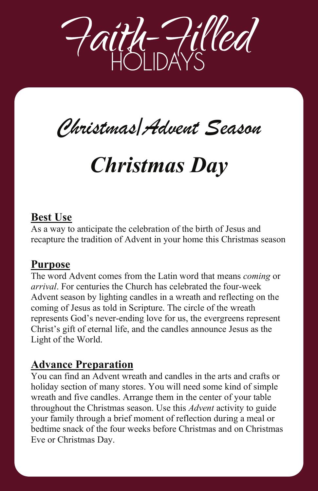

# *Christmas/Advent Season Christmas/Advent Season*

## *Christmas Day Christmas Day*

## **Best Use**

As a way to anticipate the celebration of the birth of Jesus and recapture the tradition of Advent in your home this Christmas season

As a way to anticipate the celebration of the birth of Jesus and

The word Advent comes from the Latin word that means *coming* or

### **Purpose**

The word Advent comes from the Latin word that means *coming* or *arrival*. For centuries the Church has celebrated the four-week Advent season by lighting candles in a wreath and reflecting on the coming of Jesus as told in Scripture. The circle of the wreath represents God's never-ending love for us, the evergreens represent Christ's gift of eternal life, and the candles announce Jesus as the Light of the World.

### **Advance Preparation You can find an Advance Preparation**

You can find an Advent wreath and candles in the arts and crafts or holiday section of many stores. You will need some kind of simple wreath and five candles. Arrange them in the center of your table throughout the Christmas season. Use this *Advent* activity to guide your family through a brief moment of reflection during a meal or bedtime snack of the four weeks before Christmas and on Christmas Eve or Christmas Day.